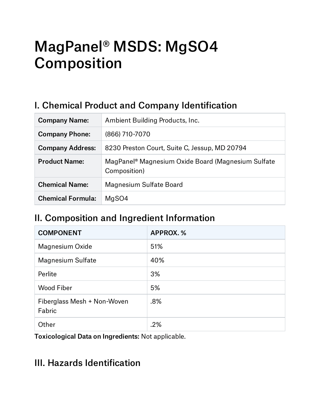# MagPanel® MSDS: MgSO4 Composition

## I. Chemical Product and Company Identification

| <b>Company Name:</b>     | Ambient Building Products, Inc.                                                |
|--------------------------|--------------------------------------------------------------------------------|
| <b>Company Phone:</b>    | (866) 710-7070                                                                 |
| <b>Company Address:</b>  | 8230 Preston Court, Suite C, Jessup, MD 20794                                  |
| <b>Product Name:</b>     | MagPanel <sup>®</sup> Magnesium Oxide Board (Magnesium Sulfate<br>Composition) |
| <b>Chemical Name:</b>    | Magnesium Sulfate Board                                                        |
| <b>Chemical Formula:</b> | MgSO4                                                                          |

## II. Composition and Ingredient Information

| <b>COMPONENT</b>                      | <b>APPROX.%</b> |
|---------------------------------------|-----------------|
| Magnesium Oxide                       | 51%             |
| <b>Magnesium Sulfate</b>              | 40%             |
| Perlite                               | 3%              |
| <b>Wood Fiber</b>                     | 5%              |
| Fiberglass Mesh + Non-Woven<br>Fabric | .8%             |
| Other                                 | .2%             |

Toxicological Data on Ingredients: Not applicable.

#### III. Hazards Identification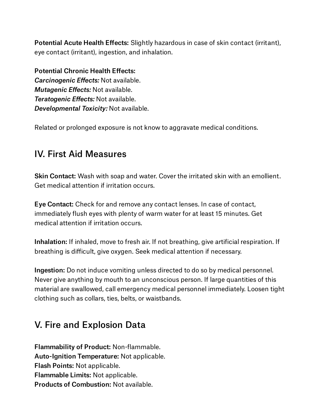Potential Acute Health Effects: Slightly hazardous in case of skin contact (irritant), eye contact (irritant), ingestion, and inhalation.

Potential Chronic Health Effects: *Carcinogenic Effects:* Not available. *Mutagenic Effects:* Not available. *Teratogenic Effects:* Not available. *Developmental Toxicity:* Not available.

Related or prolonged exposure is not know to aggravate medical conditions.

## IV. First Aid Measures

Skin Contact: Wash with soap and water. Cover the irritated skin with an emollient. Get medical attention if irritation occurs.

Eye Contact: Check for and remove any contact lenses. In case of contact, immediately flush eyes with plenty of warm water for at least 15 minutes. Get medical attention if irritation occurs.

Inhalation: If inhaled, move to fresh air. If not breathing, give artificial respiration. If breathing is difficult, give oxygen. Seek medical attention if necessary.

Ingestion: Do not induce vomiting unless directed to do so by medical personnel. Never give anything by mouth to an unconscious person. If large quantities of this material are swallowed, call emergency medical personnel immediately. Loosen tight clothing such as collars, ties, belts, or waistbands.

## V. Fire and Explosion Data

Flammability of Product: Non-flammable. Auto-Ignition Temperature: Not applicable. Flash Points: Not applicable. Flammable Limits: Not applicable. Products of Combustion: Not available.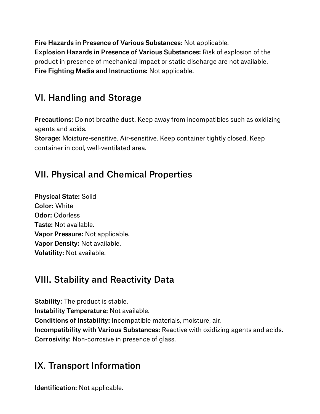Fire Hazards in Presence of Various Substances: Not applicable. Explosion Hazards in Presence of Various Substances: Risk of explosion of the product in presence of mechanical impact or static discharge are not available. Fire Fighting Media and Instructions: Not applicable.

# VI. Handling and Storage

Precautions: Do not breathe dust. Keep away from incompatibles such as oxidizing agents and acids.

Storage: Moisture-sensitive. Air-sensitive. Keep container tightly closed. Keep container in cool, well-ventilated area.

## VII. Physical and Chemical Properties

Physical State: Solid Color: White Odor: Odorless Taste: Not available. Vapor Pressure: Not applicable. Vapor Density: Not available. Volatility: Not available.

# VIII. Stability and Reactivity Data

Stability: The product is stable. Instability Temperature: Not available. Conditions of Instability: Incompatible materials, moisture, air. Incompatibility with Various Substances: Reactive with oxidizing agents and acids. Corrosivity: Non-corrosive in presence of glass.

## IX. Transport Information

Identification: Not applicable.